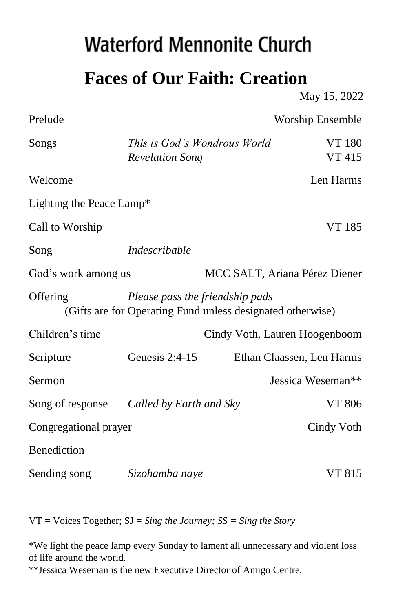## **Waterford Mennonite Church**

**Faces of Our Faith: Creation**

Prelude Worship Ensemble

May 15, 2022

| Songs                    | <b>Revelation Song</b>                                                                        | This is God's Wondrous World<br><b>VT 180</b><br><b>VT 415</b> |  |
|--------------------------|-----------------------------------------------------------------------------------------------|----------------------------------------------------------------|--|
| Welcome                  |                                                                                               | Len Harms                                                      |  |
| Lighting the Peace Lamp* |                                                                                               |                                                                |  |
| Call to Worship          |                                                                                               | VT 185                                                         |  |
| Song                     | <i>Indescribable</i>                                                                          |                                                                |  |
| God's work among us      |                                                                                               | MCC SALT, Ariana Pérez Diener                                  |  |
| Offering                 | Please pass the friendship pads<br>(Gifts are for Operating Fund unless designated otherwise) |                                                                |  |
| Children's time          |                                                                                               | Cindy Voth, Lauren Hoogenboom                                  |  |
| Scripture                | Genesis $2:4-15$                                                                              | Ethan Claassen, Len Harms                                      |  |
| Sermon                   |                                                                                               | Jessica Weseman**                                              |  |
| Song of response         | Called by Earth and Sky                                                                       | VT 806                                                         |  |
| Congregational prayer    |                                                                                               | Cindy Voth                                                     |  |
| Benediction              |                                                                                               |                                                                |  |
| Sending song             | Sizohamba naye                                                                                | VT 815                                                         |  |

VT = Voices Together; SJ = *Sing the Journey; SS = Sing the Story* 

<sup>\*</sup>We light the peace lamp every Sunday to lament all unnecessary and violent loss of life around the world.

<sup>\*\*</sup>Jessica Weseman is the new Executive Director of Amigo Centre.